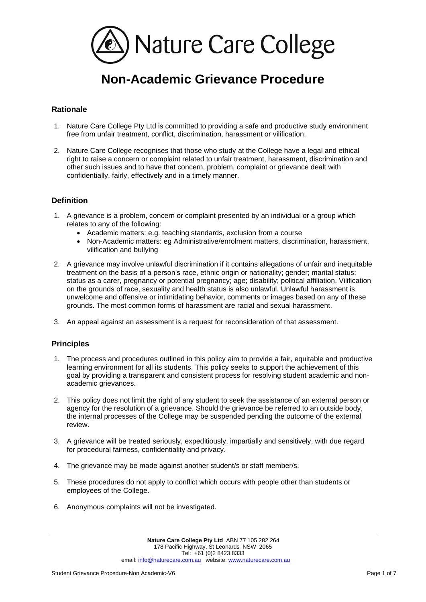

# **Non-Academic Grievance Procedure**

### **Rationale**

- 1. Nature Care College Pty Ltd is committed to providing a safe and productive study environment free from unfair treatment, conflict, discrimination, harassment or vilification.
- 2. Nature Care College recognises that those who study at the College have a legal and ethical right to raise a concern or complaint related to unfair treatment, harassment, discrimination and other such issues and to have that concern, problem, complaint or grievance dealt with confidentially, fairly, effectively and in a timely manner.

#### **Definition**

- 1. A grievance is a problem, concern or complaint presented by an individual or a group which relates to any of the following:
	- Academic matters: e.g. teaching standards, exclusion from a course
	- Non-Academic matters: eg Administrative/enrolment matters, discrimination, harassment, vilification and bullying
- 2. A grievance may involve unlawful discrimination if it contains allegations of unfair and inequitable treatment on the basis of a person's race, ethnic origin or nationality; gender; marital status; status as a carer, pregnancy or potential pregnancy; age; disability; political affiliation. Vilification on the grounds of race, sexuality and health status is also unlawful. Unlawful harassment is unwelcome and offensive or intimidating behavior, comments or images based on any of these grounds. The most common forms of harassment are racial and sexual harassment.
- 3. An appeal against an assessment is a request for reconsideration of that assessment.

#### **Principles**

- 1. The process and procedures outlined in this policy aim to provide a fair, equitable and productive learning environment for all its students. This policy seeks to support the achievement of this goal by providing a transparent and consistent process for resolving student academic and nonacademic grievances.
- 2. This policy does not limit the right of any student to seek the assistance of an external person or agency for the resolution of a grievance. Should the grievance be referred to an outside body, the internal processes of the College may be suspended pending the outcome of the external review.
- 3. A grievance will be treated seriously, expeditiously, impartially and sensitively, with due regard for procedural fairness, confidentiality and privacy.
- 4. The grievance may be made against another student/s or staff member/s.
- 5. These procedures do not apply to conflict which occurs with people other than students or employees of the College.
- 6. Anonymous complaints will not be investigated.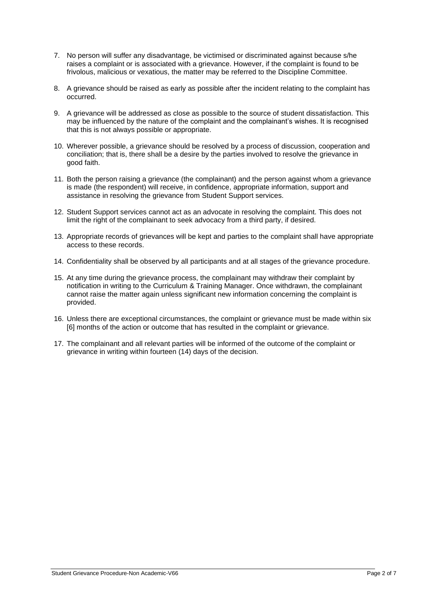- 7. No person will suffer any disadvantage, be victimised or discriminated against because s/he raises a complaint or is associated with a grievance. However, if the complaint is found to be frivolous, malicious or vexatious, the matter may be referred to the Discipline Committee.
- 8. A grievance should be raised as early as possible after the incident relating to the complaint has occurred.
- 9. A grievance will be addressed as close as possible to the source of student dissatisfaction. This may be influenced by the nature of the complaint and the complainant's wishes. It is recognised that this is not always possible or appropriate.
- 10. Wherever possible, a grievance should be resolved by a process of discussion, cooperation and conciliation; that is, there shall be a desire by the parties involved to resolve the grievance in good faith.
- 11. Both the person raising a grievance (the complainant) and the person against whom a grievance is made (the respondent) will receive, in confidence, appropriate information, support and assistance in resolving the grievance from Student Support services.
- 12. Student Support services cannot act as an advocate in resolving the complaint. This does not limit the right of the complainant to seek advocacy from a third party, if desired.
- 13. Appropriate records of grievances will be kept and parties to the complaint shall have appropriate access to these records.
- 14. Confidentiality shall be observed by all participants and at all stages of the grievance procedure.
- 15. At any time during the grievance process, the complainant may withdraw their complaint by notification in writing to the Curriculum & Training Manager. Once withdrawn, the complainant cannot raise the matter again unless significant new information concerning the complaint is provided.
- 16. Unless there are exceptional circumstances, the complaint or grievance must be made within six [6] months of the action or outcome that has resulted in the complaint or grievance.
- 17. The complainant and all relevant parties will be informed of the outcome of the complaint or grievance in writing within fourteen (14) days of the decision.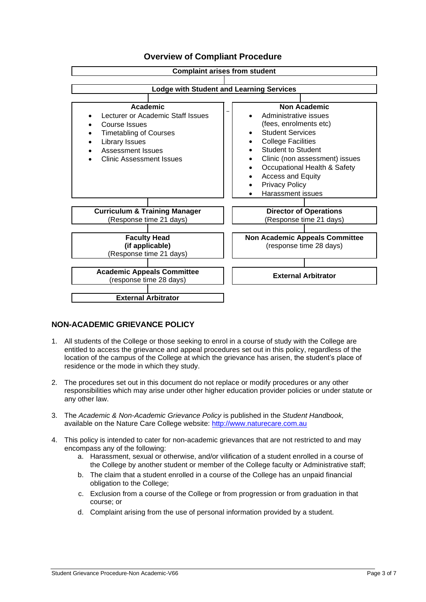

# **Overview of Compliant Procedure**

#### **NON-ACADEMIC GRIEVANCE POLICY**

- 1. All students of the College or those seeking to enrol in a course of study with the College are entitled to access the grievance and appeal procedures set out in this policy, regardless of the location of the campus of the College at which the grievance has arisen, the student's place of residence or the mode in which they study.
- 2. The procedures set out in this document do not replace or modify procedures or any other responsibilities which may arise under other higher education provider policies or under statute or any other law.
- 3. The *Academic & Non-Academic Grievance Policy* is published in the *Student Handbook,*  available on the Nature Care College website: [http://www.naturecare.com.au](http://www.naturecare.com.au/)
- 4. This policy is intended to cater for non-academic grievances that are not restricted to and may encompass any of the following:
	- a. Harassment, sexual or otherwise, and/or vilification of a student enrolled in a course of the College by another student or member of the College faculty or Administrative staff;
	- b. The claim that a student enrolled in a course of the College has an unpaid financial obligation to the College;
	- c. Exclusion from a course of the College or from progression or from graduation in that course; or
	- d. Complaint arising from the use of personal information provided by a student.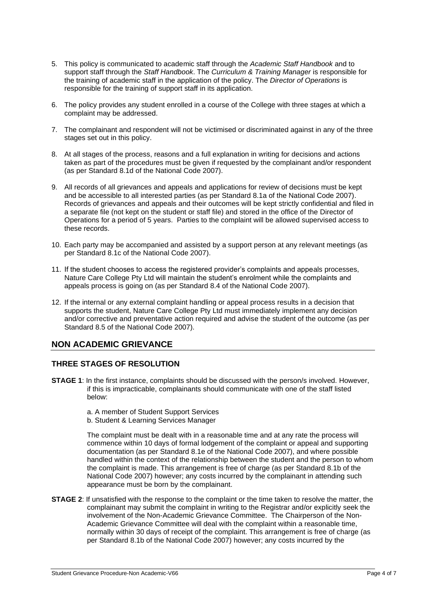- 5. This policy is communicated to academic staff through the *Academic Staff Handbook* and to support staff through the *Staff Handbook*. The *Curriculum & Training Manager* is responsible for the training of academic staff in the application of the policy. The *Director of Operations* is responsible for the training of support staff in its application.
- 6. The policy provides any student enrolled in a course of the College with three stages at which a complaint may be addressed.
- 7. The complainant and respondent will not be victimised or discriminated against in any of the three stages set out in this policy.
- 8. At all stages of the process, reasons and a full explanation in writing for decisions and actions taken as part of the procedures must be given if requested by the complainant and/or respondent (as per Standard 8.1d of the National Code 2007).
- 9. All records of all grievances and appeals and applications for review of decisions must be kept and be accessible to all interested parties (as per Standard 8.1a of the National Code 2007). Records of grievances and appeals and their outcomes will be kept strictly confidential and filed in a separate file (not kept on the student or staff file) and stored in the office of the Director of Operations for a period of 5 years. Parties to the complaint will be allowed supervised access to these records.
- 10. Each party may be accompanied and assisted by a support person at any relevant meetings (as per Standard 8.1c of the National Code 2007).
- 11. If the student chooses to access the registered provider's complaints and appeals processes, Nature Care College Pty Ltd will maintain the student's enrolment while the complaints and appeals process is going on (as per Standard 8.4 of the National Code 2007).
- 12. If the internal or any external complaint handling or appeal process results in a decision that supports the student, Nature Care College Pty Ltd must immediately implement any decision and/or corrective and preventative action required and advise the student of the outcome (as per Standard 8.5 of the National Code 2007).

## **NON ACADEMIC GRIEVANCE**

#### **THREE STAGES OF RESOLUTION**

- **STAGE 1:** In the first instance, complaints should be discussed with the person/s involved. However, if this is impracticable, complainants should communicate with one of the staff listed below:
	- a. A member of Student Support Services
	- b. Student & Learning Services Manager

The complaint must be dealt with in a reasonable time and at any rate the process will commence within 10 days of formal lodgement of the complaint or appeal and supporting documentation (as per Standard 8.1e of the National Code 2007), and where possible handled within the context of the relationship between the student and the person to whom the complaint is made. This arrangement is free of charge (as per Standard 8.1b of the National Code 2007) however; any costs incurred by the complainant in attending such appearance must be born by the complainant.

**STAGE 2:** If unsatisfied with the response to the complaint or the time taken to resolve the matter, the complainant may submit the complaint in writing to the Registrar and/or explicitly seek the involvement of the Non-Academic Grievance Committee. The Chairperson of the Non-Academic Grievance Committee will deal with the complaint within a reasonable time, normally within 30 days of receipt of the complaint. This arrangement is free of charge (as per Standard 8.1b of the National Code 2007) however; any costs incurred by the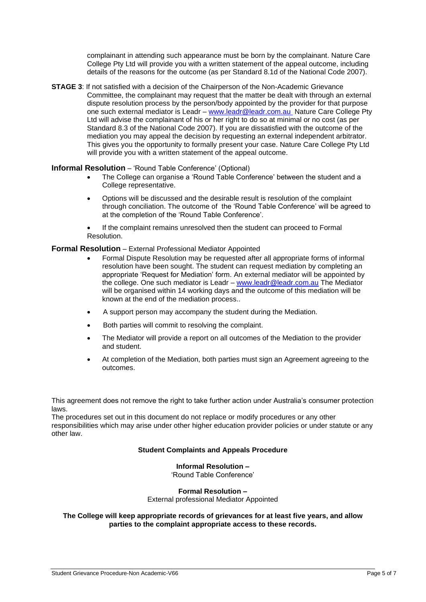complainant in attending such appearance must be born by the complainant. Nature Care College Pty Ltd will provide you with a written statement of the appeal outcome, including details of the reasons for the outcome (as per Standard 8.1d of the National Code 2007).

**STAGE 3:** If not satisfied with a decision of the Chairperson of the Non-Academic Grievance Committee, the complainant may request that the matter be dealt with through an external dispute resolution process by the person/body appointed by the provider for that purpose one such external mediator is Leadr – [www.leadr@leadr.com.au](file://///nccvs1/groups/General%20Admin%20Archive/Policies%20&%20Procedures/Administration/www.leadr@leadr.com.au%20%20%20) Nature Care College Pty Ltd will advise the complainant of his or her right to do so at minimal or no cost (as per Standard 8.3 of the National Code 2007). If you are dissatisfied with the outcome of the mediation you may appeal the decision by requesting an external independent arbitrator. This gives you the opportunity to formally present your case. Nature Care College Pty Ltd will provide you with a written statement of the appeal outcome.

#### **Informal Resolution** – 'Round Table Conference' (Optional)

- The College can organise a 'Round Table Conference' between the student and a College representative.
- Options will be discussed and the desirable result is resolution of the complaint through conciliation. The outcome of the 'Round Table Conference' will be agreed to at the completion of the 'Round Table Conference'.
- If the complaint remains unresolved then the student can proceed to Formal Resolution.

#### **Formal Resolution** – External Professional Mediator Appointed

- Formal Dispute Resolution may be requested after all appropriate forms of informal resolution have been sought. The student can request mediation by completing an appropriate 'Request for Mediation' form. An external mediator will be appointed by the college. One such mediator is Leadr – [www.leadr@leadr.com.au](file://///nccvs1/groups/General%20Admin%20Archive/Policies%20&%20Procedures/Administration/www.leadr@leadr.com.au%20) The Mediator will be organised within 14 working days and the outcome of this mediation will be known at the end of the mediation process..
- A support person may accompany the student during the Mediation.
- Both parties will commit to resolving the complaint.
- The Mediator will provide a report on all outcomes of the Mediation to the provider and student.
- At completion of the Mediation, both parties must sign an Agreement agreeing to the outcomes.

This agreement does not remove the right to take further action under Australia's consumer protection laws.

The procedures set out in this document do not replace or modify procedures or any other responsibilities which may arise under other higher education provider policies or under statute or any other law.

#### **Student Complaints and Appeals Procedure**

#### **Informal Resolution –** 'Round Table Conference'

**Formal Resolution –**

External professional Mediator Appointed

**The College will keep appropriate records of grievances for at least five years, and allow parties to the complaint appropriate access to these records.**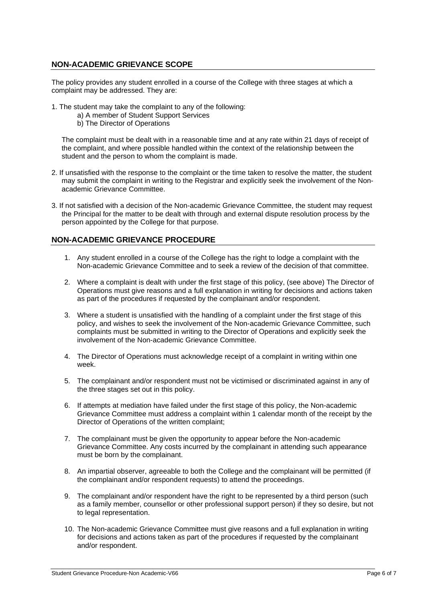### **NON-ACADEMIC GRIEVANCE SCOPE**

The policy provides any student enrolled in a course of the College with three stages at which a complaint may be addressed. They are:

- 1. The student may take the complaint to any of the following:
	- a) A member of Student Support Services
	- b) The Director of Operations

The complaint must be dealt with in a reasonable time and at any rate within 21 days of receipt of the complaint, and where possible handled within the context of the relationship between the student and the person to whom the complaint is made.

- 2. If unsatisfied with the response to the complaint or the time taken to resolve the matter, the student may submit the complaint in writing to the Registrar and explicitly seek the involvement of the Nonacademic Grievance Committee.
- 3. If not satisfied with a decision of the Non-academic Grievance Committee, the student may request the Principal for the matter to be dealt with through and external dispute resolution process by the person appointed by the College for that purpose.

#### **NON-ACADEMIC GRIEVANCE PROCEDURE**

- 1. Any student enrolled in a course of the College has the right to lodge a complaint with the Non-academic Grievance Committee and to seek a review of the decision of that committee.
- 2. Where a complaint is dealt with under the first stage of this policy, (see above) The Director of Operations must give reasons and a full explanation in writing for decisions and actions taken as part of the procedures if requested by the complainant and/or respondent.
- 3. Where a student is unsatisfied with the handling of a complaint under the first stage of this policy, and wishes to seek the involvement of the Non-academic Grievance Committee, such complaints must be submitted in writing to the Director of Operations and explicitly seek the involvement of the Non-academic Grievance Committee.
- 4. The Director of Operations must acknowledge receipt of a complaint in writing within one week.
- 5. The complainant and/or respondent must not be victimised or discriminated against in any of the three stages set out in this policy.
- 6. If attempts at mediation have failed under the first stage of this policy, the Non-academic Grievance Committee must address a complaint within 1 calendar month of the receipt by the Director of Operations of the written complaint;
- 7. The complainant must be given the opportunity to appear before the Non-academic Grievance Committee. Any costs incurred by the complainant in attending such appearance must be born by the complainant.
- 8. An impartial observer, agreeable to both the College and the complainant will be permitted (if the complainant and/or respondent requests) to attend the proceedings.
- 9. The complainant and/or respondent have the right to be represented by a third person (such as a family member, counsellor or other professional support person) if they so desire, but not to legal representation.
- 10. The Non-academic Grievance Committee must give reasons and a full explanation in writing for decisions and actions taken as part of the procedures if requested by the complainant and/or respondent.